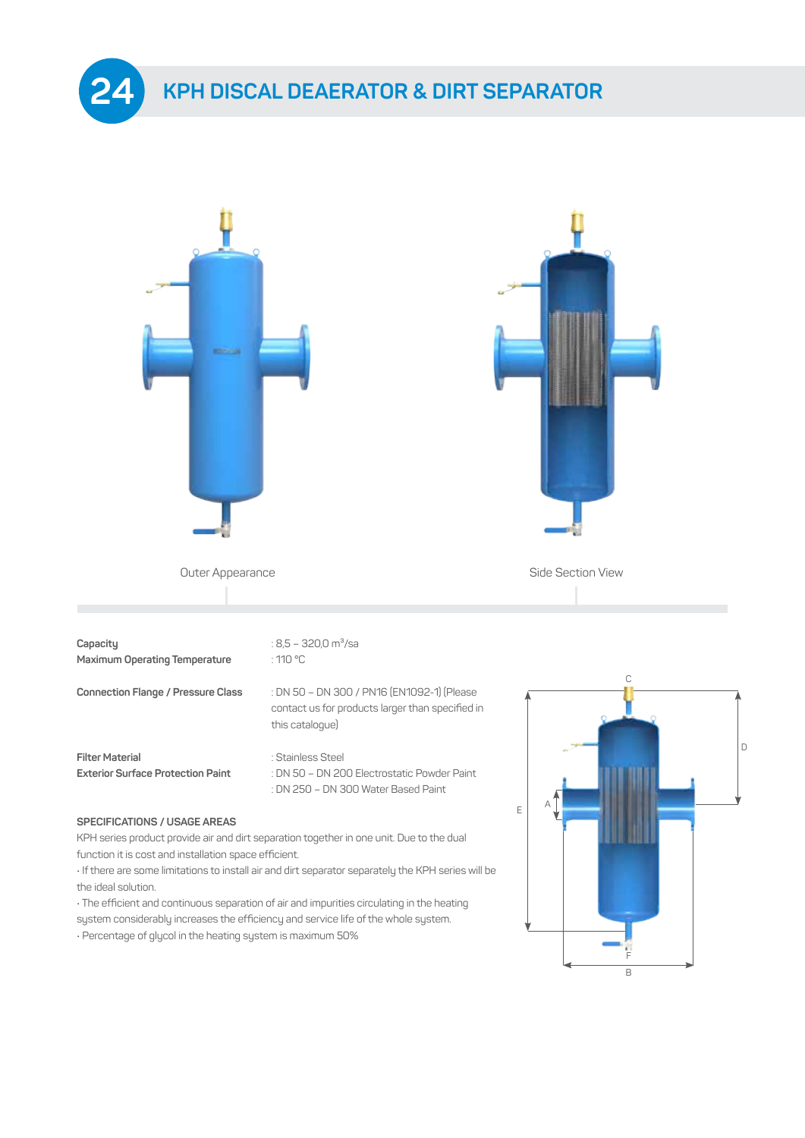



**Filter Material Example 3** : Stainless Steel

**Exterior Surface Protection Paint** : DN 50 – DN 200 Electrostatic Powder Paint : DN 250 – DN 300 Water Based Paint

## **SPECIFICATIONS / USAGE AREAS**

KPH series product provide air and dirt separation together in one unit. Due to the dual function it is cost and installation space efficient.

• If there are some limitations to install air and dirt separator separately the KPH series will be the ideal solution.

• The efficient and continuous separation of air and impurities circulating in the heating system considerably increases the efficiency and service life of the whole system.

• Percentage of glycol in the heating system is maximum 50%